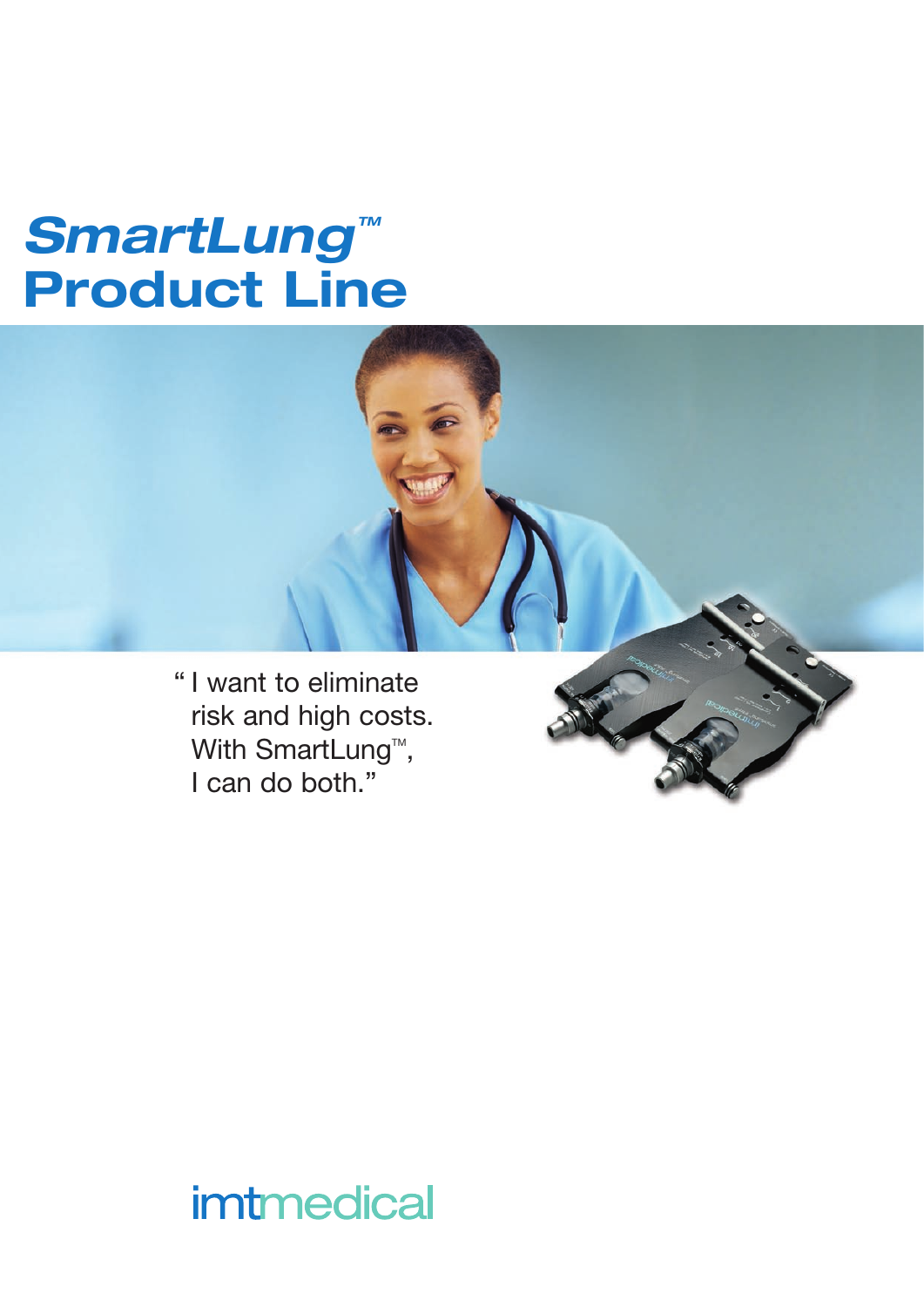# **SmartLung™** Product Line

" I want to eliminate risk and high costs. With SmartLung<sup>™</sup>, I can do both."

## *imtmedical*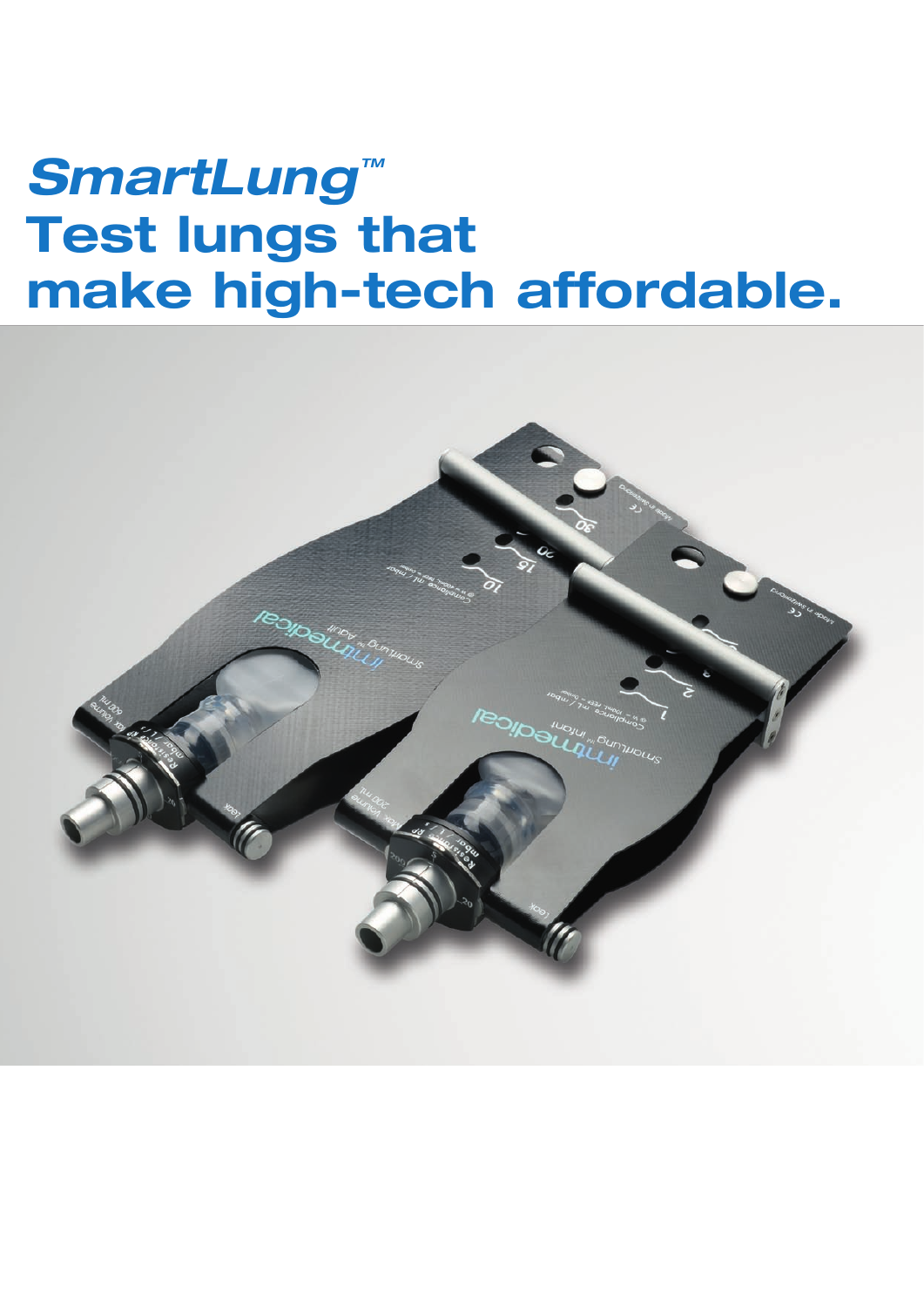# **SmartLung™** Test lungs that make high-tech affordable.

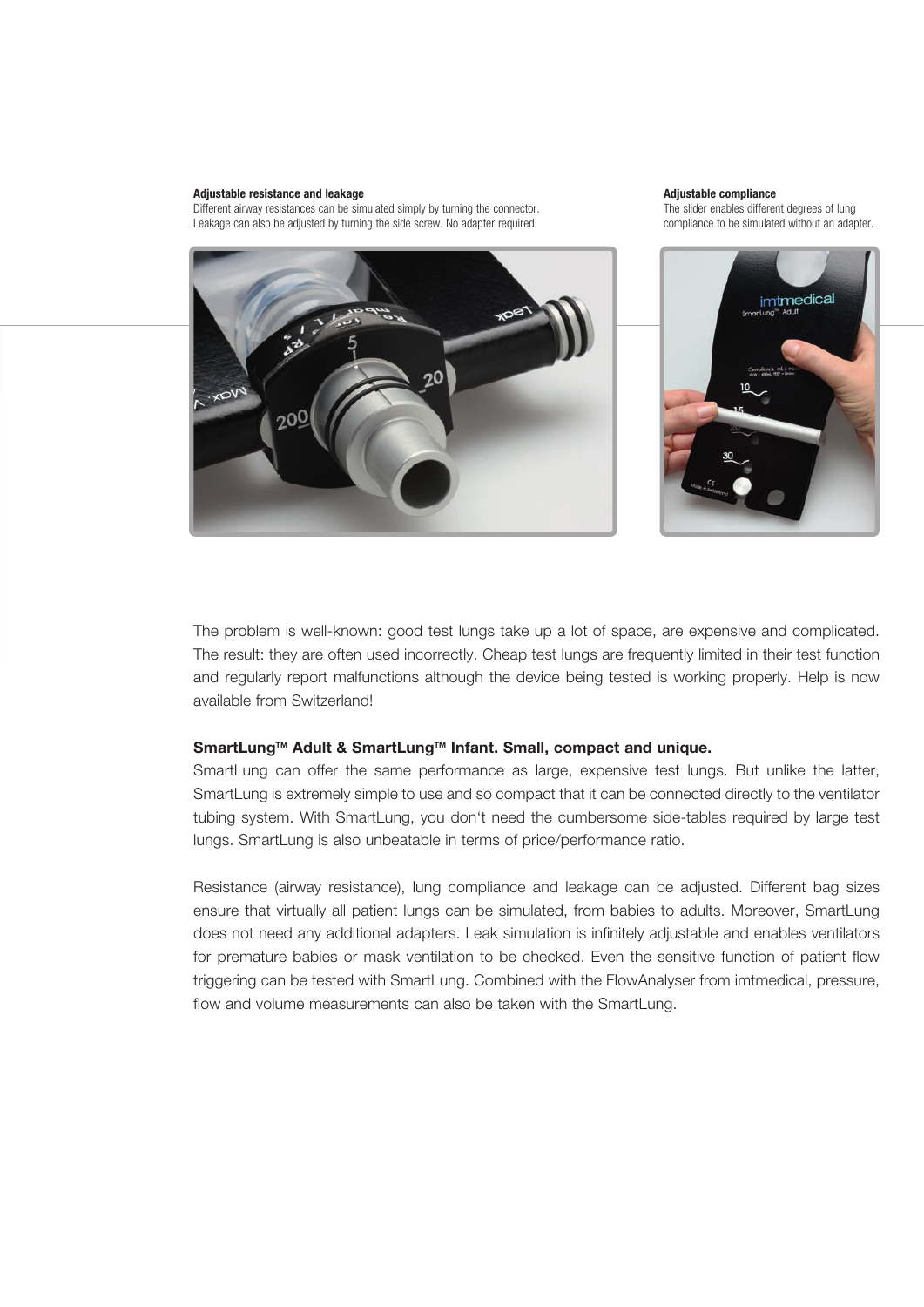#### Adjustable resistance and leakage

Different airway resistances can be simulated simply by turning the connector. Leakage can also be adjusted by turning the side screw. No adapter required.



#### Adjustable compliance

The slider enables different degrees of lung compliance to be simulated without an adapter.



The problem is well-known: good test lungs take up a lot of space, are expensive and complicated. The result: they are often used incorrectly. Cheap test lungs are frequently limited in their test function and regularly report malfunctions although the device being tested is working properly. Help is now available from Switzerland!

### SmartLung™ Adult & SmartLung™ Infant. Small, compact and unique.

SmartLung can offer the same performance as large, expensive test lungs. But unlike the latter, SmartLung is extremely simple to use and so compact that it can be connected directly to the ventilator tubing system. With SmartLung, you don't need the cumbersome side-tables required by large test lungs. SmartLung is also unbeatable in terms of price/performance ratio.

Resistance (airway resistance), lung compliance and leakage can be adjusted. Different bag sizes ensure that virtually all patient lungs can be simulated, from babies to adults. Moreover, SmartLung does not need any additional adapters. Leak simulation is infinitely adjustable and enables ventilators for premature babies or mask ventilation to be checked. Even the sensitive function of patient flow triggering can be tested with SmartLung. Combined with the FlowAnalyser from imtmedical, pressure, flow and volume measurements can also be taken with the SmartLung.